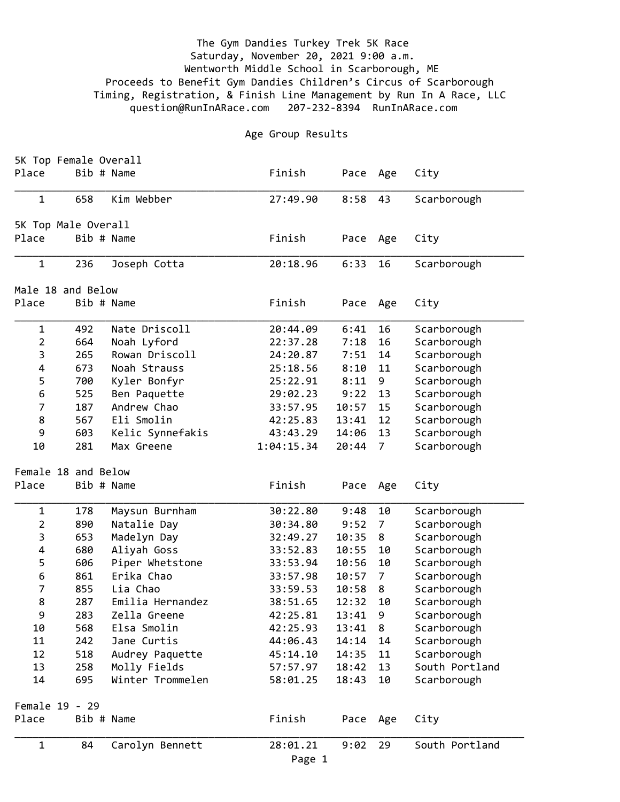## The Gym Dandies Turkey Trek 5K Race Saturday, November 20, 2021 9:00 a.m. Wentworth Middle School in Scarborough, ME Proceeds to Benefit Gym Dandies Children's Circus of Scarborough Timing, Registration, & Finish Line Management by Run In A Race, LLC question@RunInARace.com 207-232-8394 RunInARace.com

## Age Group Results

|                   | 5K Top Female Overall |                                |                        |                |                      |                |  |  |  |
|-------------------|-----------------------|--------------------------------|------------------------|----------------|----------------------|----------------|--|--|--|
| Place             | Bib # Name            |                                | Finish                 | Pace           | Age                  | City           |  |  |  |
| $\mathbf 1$       | 658                   | Kim Webber                     | 27:49.90               | 8:58           | 43                   | Scarborough    |  |  |  |
|                   | 5K Top Male Overall   |                                |                        |                |                      |                |  |  |  |
| Place             | Bib # Name            |                                | Finish                 | Pace           | Age                  | City           |  |  |  |
|                   |                       |                                |                        |                |                      |                |  |  |  |
| $\mathbf 1$       | 236                   | Joseph Cotta                   | 20:18.96               | 6:33           | 16                   | Scarborough    |  |  |  |
| Male 18 and Below |                       |                                |                        |                |                      |                |  |  |  |
| Place             | Bib # Name            |                                | Finish                 | Pace           | Age                  | City           |  |  |  |
| $\mathbf 1$       | 492                   | Nate Driscoll                  | 20:44.09               | 6:41           | 16                   | Scarborough    |  |  |  |
| $\overline{2}$    | 664                   | Noah Lyford                    | 22:37.28               | 7:18           | 16                   | Scarborough    |  |  |  |
| 3                 | 265                   | Rowan Driscoll                 | 24:20.87               | 7:51           | 14                   | Scarborough    |  |  |  |
| 4                 | 673                   | Noah Strauss                   | 25:18.56               | 8:10           | 11                   | Scarborough    |  |  |  |
| 5                 | 700                   | Kyler Bonfyr                   | 25:22.91               | 8:11           | 9                    | Scarborough    |  |  |  |
| 6                 | 525                   | Ben Paquette                   | 29:02.23               | 9:22           | 13                   | Scarborough    |  |  |  |
| 7                 | 187                   | Andrew Chao                    | 33:57.95               | 10:57          | 15                   | Scarborough    |  |  |  |
| 8<br>9            | 567                   | Eli Smolin                     | 42:25.83               | 13:41          | 12                   | Scarborough    |  |  |  |
| 10                | 603<br>281            | Kelic Synnefakis<br>Max Greene | 43:43.29<br>1:04:15.34 | 14:06<br>20:44 | 13<br>$\overline{7}$ | Scarborough    |  |  |  |
|                   |                       |                                |                        |                |                      | Scarborough    |  |  |  |
|                   | Female 18 and Below   |                                |                        |                |                      |                |  |  |  |
| Place             | Bib # Name            |                                | Finish                 | Pace           | Age                  | City           |  |  |  |
| $\mathbf 1$       | 178                   | Maysun Burnham                 | 30:22.80               | 9:48           | 10                   | Scarborough    |  |  |  |
| $\overline{2}$    | 890                   | Natalie Day                    | 30:34.80               | 9:52           | $\overline{7}$       | Scarborough    |  |  |  |
| 3                 | 653                   | Madelyn Day                    | 32:49.27               | 10:35          | 8                    | Scarborough    |  |  |  |
| 4                 | 680                   | Aliyah Goss                    | 33:52.83               | 10:55          | 10                   | Scarborough    |  |  |  |
| 5                 | 606                   | Piper Whetstone                | 33:53.94               | 10:56          | 10                   | Scarborough    |  |  |  |
| 6                 | 861                   | Erika Chao                     | 33:57.98               | 10:57          | $\overline{7}$       | Scarborough    |  |  |  |
| 7                 | 855                   | Lia Chao                       | 33:59.53               | 10:58          | 8                    | Scarborough    |  |  |  |
| 8                 | 287                   | Emilia Hernandez               | 38:51.65               | 12:32          | 10                   | Scarborough    |  |  |  |
| 9                 | 283                   | Zella Greene                   | 42:25.81               | 13:41          | 9                    | Scarborough    |  |  |  |
| 10                | 568                   | Elsa Smolin                    | 42:25.93               | 13:41          | 8                    | Scarborough    |  |  |  |
| 11                | 242                   | Jane Curtis                    | 44:06.43               | 14:14          | 14                   | Scarborough    |  |  |  |
| 12                | 518                   | Audrey Paquette                | 45:14.10               | 14:35          | 11                   | Scarborough    |  |  |  |
| 13                | 258                   | Molly Fields                   | 57:57.97               | 18:42          | 13                   | South Portland |  |  |  |
| 14                | 695                   | Winter Trommelen               | 58:01.25               | 18:43          | 10                   | Scarborough    |  |  |  |
|                   | Female 19 - 29        |                                |                        |                |                      |                |  |  |  |
| Place             | Bib # Name            |                                | Finish                 | Pace           | Age                  | City           |  |  |  |
| $\mathbf 1$       | 84                    | Carolyn Bennett                | 28:01.21               | 9:02           | 29                   | South Portland |  |  |  |
|                   |                       |                                | Page 1                 |                |                      |                |  |  |  |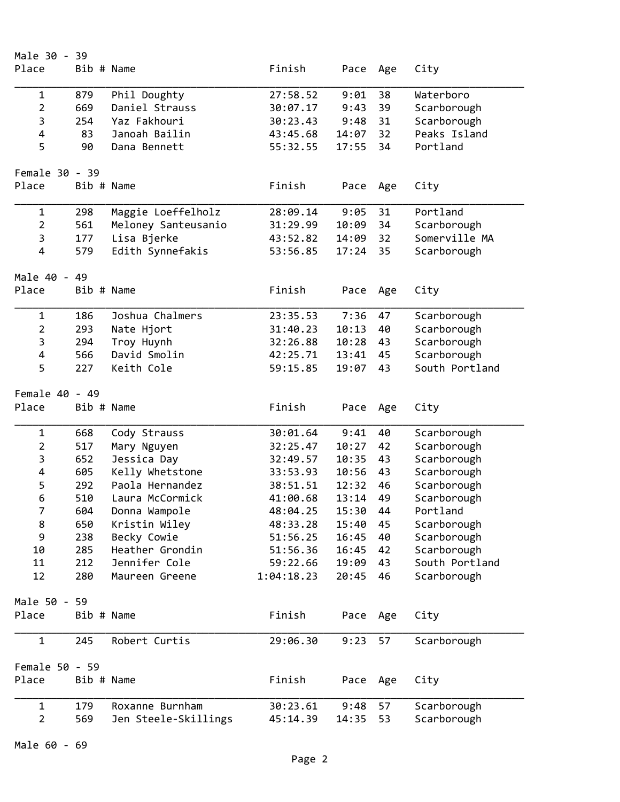| Male 30 - 39   |            |                                 |                        |                |          |                               |
|----------------|------------|---------------------------------|------------------------|----------------|----------|-------------------------------|
| Place          | Bib # Name |                                 | Finish                 | Pace           | Age      | City                          |
| $\mathbf 1$    | 879        | Phil Doughty                    | 27:58.52               | 9:01           | 38       | Waterboro                     |
| $\overline{2}$ | 669        | Daniel Strauss                  | 30:07.17               | 9:43           | 39       | Scarborough                   |
| 3              | 254        | Yaz Fakhouri                    | 30:23.43               | 9:48           | 31       | Scarborough                   |
| 4              | 83         | Janoah Bailin                   | 43:45.68               | 14:07          | 32       | Peaks Island                  |
| 5              | 90         | Dana Bennett                    | 55:32.55               | 17:55          | 34       | Portland                      |
|                |            |                                 |                        |                |          |                               |
| Female 30 - 39 |            |                                 |                        |                |          |                               |
| Place          | Bib # Name |                                 | Finish                 | Pace           | Age      | City                          |
| $\mathbf 1$    | 298        | Maggie Loeffelholz              | 28:09.14               | 9:05           | 31       | Portland                      |
| $\overline{2}$ | 561        | Meloney Santeusanio             | 31:29.99               | 10:09          | 34       | Scarborough                   |
| 3              | 177        | Lisa Bjerke                     | 43:52.82               | 14:09          | 32       | Somerville MA                 |
| 4              | 579        | Edith Synnefakis                | 53:56.85               | 17:24          | 35       | Scarborough                   |
| Male 40 - 49   |            |                                 |                        |                |          |                               |
| Place          | Bib # Name |                                 | Finish                 | Pace           | Age      | City                          |
|                |            |                                 |                        |                |          |                               |
| $\mathbf 1$    | 186        | Joshua Chalmers                 | 23:35.53               | 7:36           | 47       | Scarborough                   |
| $\overline{2}$ | 293        | Nate Hjort                      | 31:40.23               | 10:13          | 40       | Scarborough                   |
| 3              | 294        | Troy Huynh                      | 32:26.88               | 10:28          | 43       | Scarborough                   |
| $\pmb{4}$      | 566        | David Smolin                    | 42:25.71               | 13:41          | 45       | Scarborough                   |
| 5              | 227        | Keith Cole                      | 59:15.85               | 19:07          | 43       | South Portland                |
| Female 40 - 49 |            |                                 |                        |                |          |                               |
| Place          | Bib # Name |                                 | Finish                 | Pace           | Age      | City                          |
| $\mathbf 1$    | 668        | Cody Strauss                    | 30:01.64               | 9:41           | 40       | Scarborough                   |
| $\overline{2}$ | 517        | Mary Nguyen                     | 32:25.47               | 10:27          | 42       | Scarborough                   |
| 3              | 652        | Jessica Day                     | 32:49.57               | 10:35          | 43       | Scarborough                   |
| 4              | 605        | Kelly Whetstone                 | 33:53.93               | 10:56          | 43       | Scarborough                   |
| 5              | 292        | Paola Hernandez                 | 38:51.51               | 12:32          | 46       | Scarborough                   |
| 6              | 510        | Laura McCormick                 | 41:00.68               | 13:14          | 49       | Scarborough                   |
| 7              | 604        | Donna Wampole                   | 48:04.25               | 15:30          | 44       | Portland                      |
| 8              | 650        | Kristin Wiley                   | 48:33.28               | 15:40          | 45       | Scarborough                   |
| 9              | 238        | Becky Cowie                     | 51:56.25               | 16:45          | 40       | Scarborough                   |
|                |            | Heather Grondin                 |                        |                |          |                               |
| 10             | 285        |                                 | 51:56.36               | 16:45          | 42       | Scarborough                   |
| 11<br>12       | 212<br>280 | Jennifer Cole<br>Maureen Greene | 59:22.66<br>1:04:18.23 | 19:09<br>20:45 | 43<br>46 | South Portland<br>Scarborough |
|                |            |                                 |                        |                |          |                               |
| Male 50 - 59   |            |                                 |                        |                |          |                               |
| Place          | Bib # Name |                                 | Finish                 | Pace           | Age      | City                          |
| $\mathbf 1$    | 245        | Robert Curtis                   | 29:06.30               | 9:23           | 57       | Scarborough                   |
| Female 50 - 59 |            |                                 |                        |                |          |                               |
| Place          | Bib # Name |                                 | Finish                 | Pace           | Age      | City                          |
| $\mathbf 1$    | 179        | Roxanne Burnham                 | 30:23.61               | 9:48           | 57       | Scarborough                   |
| $\overline{2}$ | 569        | Jen Steele-Skillings            | 45:14.39               | 14:35          | 53       | Scarborough                   |